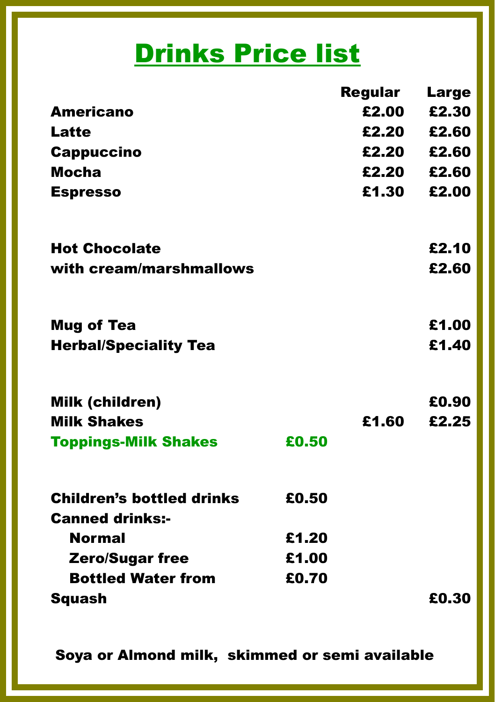## **Drinks Price list**

| <b>Americano</b>                 |       | <b>Regular</b> | <b>Large</b><br>£2.30 |
|----------------------------------|-------|----------------|-----------------------|
|                                  |       | £2.00          |                       |
| <b>Latte</b>                     |       | £2.20          | £2.60                 |
| <b>Cappuccino</b>                |       | £2.20          | £2.60                 |
| <b>Mocha</b>                     |       | £2.20          | £2.60                 |
| <b>Espresso</b>                  |       | £1.30          | £2.00                 |
| <b>Hot Chocolate</b>             |       |                | £2.10                 |
| with cream/marshmallows          |       |                | £2.60                 |
| <b>Mug of Tea</b>                |       |                | £1.00                 |
| <b>Herbal/Speciality Tea</b>     |       |                | £1.40                 |
| <b>Milk (children)</b>           |       |                | £0.90                 |
| <b>Milk Shakes</b>               |       | £1.60          | £2.25                 |
| <b>Toppings-Milk Shakes</b>      | £0.50 |                |                       |
| <b>Children's bottled drinks</b> | £0.50 |                |                       |
| <b>Canned drinks:-</b>           |       |                |                       |
| <b>Normal</b>                    | £1.20 |                |                       |
| <b>Zero/Sugar free</b>           | £1.00 |                |                       |
| <b>Bottled Water from</b>        | £0.70 |                |                       |
| <b>Squash</b>                    |       |                | £0.30                 |

Soya or Almond milk, skimmed or semi available